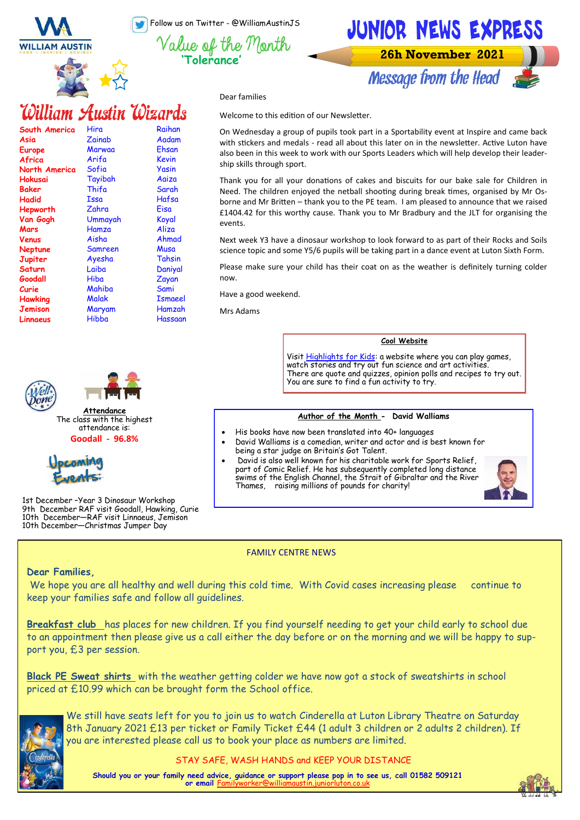Follow us on Twitter - @WilliamAustinJS

**'Tolerance'**





Message from the Head

Dear families

William Austin Wizards

| South America  | Hira    | Raihan         |
|----------------|---------|----------------|
| Asia           | Zainab  | Aadam          |
| <b>Europe</b>  | Marwaa  | Ehsan          |
| Africa         | Arifa   | Kevin          |
| North America  | Sofia   | Yasin          |
| Hokusai        | Tayibah | Aaiza          |
| Baker          | Thifa   | Sarah          |
| Hadid          | Issa    | Hafsa          |
| Hepworth       | Zahra   | Eisa           |
| Van Gogh       | Ummayah | Koyal          |
| Mars           | Hamza   | Aliza          |
| Venus          | Aisha   | Ahmad          |
| Neptune        | Samreen | Musa           |
| Jupiter        | Ayesha  | Tahsin         |
| Saturn         | Laiba   | Daniyal        |
| Goodall        | Hiba    | Zayan          |
| Curie          | Mahiba  | Sami           |
| Hawking        | Malak   | <b>Ismaeel</b> |
| <b>Jemison</b> | Maryam  | Hamzah         |
| Linnaeus       | Hibba   | Hassaan        |



The class with the highest attendance is: **Goodall - 96.8%**



1st December –Year 3 Dinosaur Workshop 9th December RAF visit Goodall, Hawking, Curie 10th December—RAF visit Linnaeus, Jemison 10th December—Christmas Jumper Day

# Welcome to this edition of our Newsletter.

On Wednesday a group of pupils took part in a Sportability event at Inspire and came back with stickers and medals - read all about this later on in the newsletter. Active Luton have also been in this week to work with our Sports Leaders which will help develop their leadership skills through sport.

Thank you for all your donations of cakes and biscuits for our bake sale for Children in Need. The children enjoyed the netball shooting during break times, organised by Mr Osborne and Mr Britten – thank you to the PE team. I am pleased to announce that we raised £1404.42 for this worthy cause. Thank you to Mr Bradbury and the JLT for organising the events.

Next week Y3 have a dinosaur workshop to look forward to as part of their Rocks and Soils science topic and some Y5/6 pupils will be taking part in a dance event at Luton Sixth Form.

Please make sure your child has their coat on as the weather is definitely turning colder now.

Have a good weekend.

Mrs Adams

## **Cool Website**

Visit <u>Highlights for Kids</u>: a website where you can play games, watch stories and try out fun science and art activities There are quote and quizzes, opinion polls and recipes to try out. You are sure to find a fun activity to try.

## **Author of the Month - David Walliams**

- His books have now been translated into 40+ languages
	- David Walliams is a comedian, writer and actor and is best known for being a star judge on Britain's Got Talent.
- David is also well known for his charitable work for Sports Relief, part of Comic Relief. He has subsequently completed long distance swims of the English Channel, the Strait of Gibraltar and the River Thames, raising millions of pounds for charity!



FAMILY CENTRE NEWS

## **Dear Families,**

We hope you are all healthy and well during this cold time. With Covid cases increasing please continue to keep your families safe and follow all guidelines.

**Breakfast club** has places for new children. If you find yourself needing to get your child early to school due to an appointment then please give us a call either the day before or on the morning and we will be happy to support you, £3 per session.

**Black PE Sweat shirts** with the weather getting colder we have now got a stock of sweatshirts in school priced at £10.99 which can be brought form the School office.



We still have seats left for you to join us to watch Cinderella at Luton Library Theatre on Saturday 8th January 2021 £13 per ticket or Family Ticket £44 (1 adult 3 children or 2 adults 2 children). If you are interested please call us to book your place as numbers are limited.

STAY SAFE, WASH HANDS and KEEP YOUR DISTANCE

**Should you or your family need advice, guidance or support please pop in to see us, call 01582 509121 or email** Fam